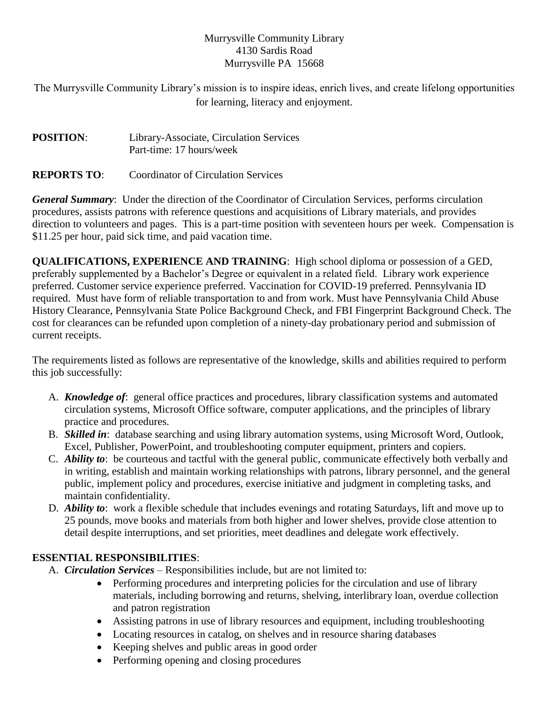## Murrysville Community Library 4130 Sardis Road Murrysville PA 15668

The Murrysville Community Library's mission is to inspire ideas, enrich lives, and create lifelong opportunities for learning, literacy and enjoyment.

| <b>POSITION:</b> | Library-Associate, Circulation Services |
|------------------|-----------------------------------------|
|                  | Part-time: 17 hours/week                |

# **REPORTS TO**: Coordinator of Circulation Services

*General Summary*: Under the direction of the Coordinator of Circulation Services, performs circulation procedures, assists patrons with reference questions and acquisitions of Library materials, and provides direction to volunteers and pages. This is a part-time position with seventeen hours per week. Compensation is \$11.25 per hour, paid sick time, and paid vacation time.

**QUALIFICATIONS, EXPERIENCE AND TRAINING**: High school diploma or possession of a GED, preferably supplemented by a Bachelor's Degree or equivalent in a related field. Library work experience preferred. Customer service experience preferred. Vaccination for COVID-19 preferred. Pennsylvania ID required. Must have form of reliable transportation to and from work. Must have Pennsylvania Child Abuse History Clearance, Pennsylvania State Police Background Check, and FBI Fingerprint Background Check. The cost for clearances can be refunded upon completion of a ninety-day probationary period and submission of current receipts.

The requirements listed as follows are representative of the knowledge, skills and abilities required to perform this job successfully:

- A. *Knowledge of*: general office practices and procedures, library classification systems and automated circulation systems, Microsoft Office software, computer applications, and the principles of library practice and procedures.
- B. *Skilled in*: database searching and using library automation systems, using Microsoft Word, Outlook, Excel, Publisher, PowerPoint, and troubleshooting computer equipment, printers and copiers.
- C. *Ability to*: be courteous and tactful with the general public, communicate effectively both verbally and in writing, establish and maintain working relationships with patrons, library personnel, and the general public, implement policy and procedures, exercise initiative and judgment in completing tasks, and maintain confidentiality.
- D. *Ability to*: work a flexible schedule that includes evenings and rotating Saturdays, lift and move up to 25 pounds, move books and materials from both higher and lower shelves, provide close attention to detail despite interruptions, and set priorities, meet deadlines and delegate work effectively.

## **ESSENTIAL RESPONSIBILITIES**:

- A. *Circulation Services* Responsibilities include, but are not limited to:
	- Performing procedures and interpreting policies for the circulation and use of library materials, including borrowing and returns, shelving, interlibrary loan, overdue collection and patron registration
	- Assisting patrons in use of library resources and equipment, including troubleshooting
	- Locating resources in catalog, on shelves and in resource sharing databases
	- Keeping shelves and public areas in good order
	- Performing opening and closing procedures